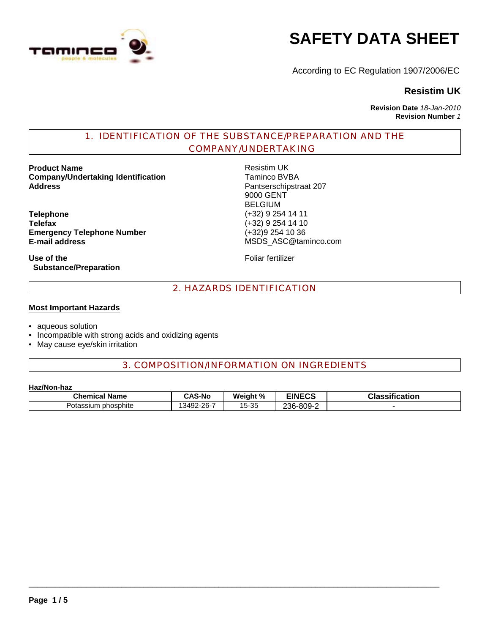

# **SAFETY DATA SHEET**

According to EC Regulation 1907/2006/EC

# **Resistim UK**

**Revision Date** *18-Jan-2010* **Revision Number** *1*

# 1. IDENTIFICATION OF THE SUBSTANCE/PREPARATION AND THE COMPANY/UNDERTAKING

**Product Name**<br> **Company/Undertaking Identification**<br> **Company/Undertaking Identification**<br> **Company/Undertaking Identification Company/Undertaking Identification Address** Pantserschipstraat 207

**Telephone** (+32) 9 254 14 11 **Emergency Telephone Number** (+32)9 254 10 36 **E-mail address** MSDS\_ASC@taminco.com

**Use of the Substance/Preparation** 9000 GENT BELGIUM **Telefax** (+32) 9 254 14 10

Foliar fertilizer

# 2. HAZARDS IDENTIFICATION

#### **Most Important Hazards**

- aqueous solution
- Incompatible with strong acids and oxidizing agents
- May cause eye/skin irritation

# 3. COMPOSITION/INFORMATION ON INGREDIENTS

#### **Haz/Non-haz**

| <b>Chemical Name</b> | <b>CAS-No</b> | Weight % | <b>EINECS</b> | <b>Classification</b> |
|----------------------|---------------|----------|---------------|-----------------------|
| Potassium phosphite  | 13492-26-7    | 15-35    | 236-809-2     |                       |

 $\_$  ,  $\_$  ,  $\_$  ,  $\_$  ,  $\_$  ,  $\_$  ,  $\_$  ,  $\_$  ,  $\_$  ,  $\_$  ,  $\_$  ,  $\_$  ,  $\_$  ,  $\_$  ,  $\_$  ,  $\_$  ,  $\_$  ,  $\_$  ,  $\_$  ,  $\_$  ,  $\_$  ,  $\_$  ,  $\_$  ,  $\_$  ,  $\_$  ,  $\_$  ,  $\_$  ,  $\_$  ,  $\_$  ,  $\_$  ,  $\_$  ,  $\_$  ,  $\_$  ,  $\_$  ,  $\_$  ,  $\_$  ,  $\_$  ,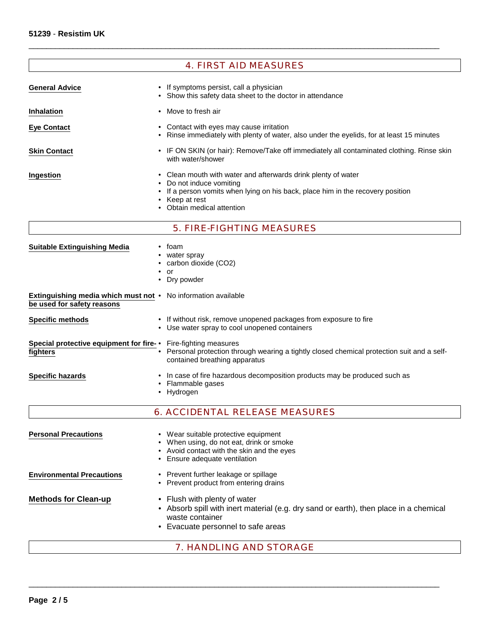## 4. FIRST AID MEASURES

 $\_$  ,  $\_$  ,  $\_$  ,  $\_$  ,  $\_$  ,  $\_$  ,  $\_$  ,  $\_$  ,  $\_$  ,  $\_$  ,  $\_$  ,  $\_$  ,  $\_$  ,  $\_$  ,  $\_$  ,  $\_$  ,  $\_$  ,  $\_$  ,  $\_$  ,  $\_$  ,  $\_$  ,  $\_$  ,  $\_$  ,  $\_$  ,  $\_$  ,  $\_$  ,  $\_$  ,  $\_$  ,  $\_$  ,  $\_$  ,  $\_$  ,  $\_$  ,  $\_$  ,  $\_$  ,  $\_$  ,  $\_$  ,  $\_$  ,

| <b>General Advice</b>               | • If symptoms persist, call a physician<br>• Show this safety data sheet to the doctor in attendance                                                                                                                         |
|-------------------------------------|------------------------------------------------------------------------------------------------------------------------------------------------------------------------------------------------------------------------------|
| <b>Inhalation</b>                   | • Move to fresh air                                                                                                                                                                                                          |
| <b>Eye Contact</b>                  | • Contact with eyes may cause irritation<br>• Rinse immediately with plenty of water, also under the eyelids, for at least 15 minutes                                                                                        |
| <b>Skin Contact</b>                 | • IF ON SKIN (or hair): Remove/Take off immediately all contaminated clothing. Rinse skin<br>with water/shower                                                                                                               |
| Ingestion                           | • Clean mouth with water and afterwards drink plenty of water<br>• Do not induce vomiting<br>• If a person vomits when lying on his back, place him in the recovery position<br>• Keep at rest<br>• Obtain medical attention |
|                                     | <b>5. FIRE-FIGHTING MEASURES</b>                                                                                                                                                                                             |
| <b>Suitable Extinguishing Media</b> | $\bullet$ foam<br>water spray                                                                                                                                                                                                |

- carbon dioxide (CO2)
- or
- Dry powder

| <b>Extinguishing media which must not •</b> No information available |                                                                   |
|----------------------------------------------------------------------|-------------------------------------------------------------------|
| be used for safety reasons                                           |                                                                   |
| <b>Specific methods</b>                                              | • If without risk, remove unopened packages from exposure to fire |

- Use water spray to cool unopened containers
- **Special protective equipment for fire-** Fire-fighting measures **fighters**
	- Personal protection through wearing a tightly closed chemical protection suit and a selfcontained breathing apparatus

**Specific hazards** • In case of fire hazardous decomposition products may be produced such as

- Flammable gases
- Hydrogen
- 6. ACCIDENTAL RELEASE MEASURES
- **Personal Precautions** Wear suitable protective equipment • When using, do not eat, drink or smoke • Avoid contact with the skin and the eyes • Ensure adequate ventilation **Environmental Precautions** • Prevent further leakage or spillage

- **Methods for Clean-up** Flush with plenty of water
	- Absorb spill with inert material (e.g. dry sand or earth), then place in a chemical waste container
	- Evacuate personnel to safe areas

• Prevent product from entering drains

## 7. HANDLING AND STORAGE

 $\_$  ,  $\_$  ,  $\_$  ,  $\_$  ,  $\_$  ,  $\_$  ,  $\_$  ,  $\_$  ,  $\_$  ,  $\_$  ,  $\_$  ,  $\_$  ,  $\_$  ,  $\_$  ,  $\_$  ,  $\_$  ,  $\_$  ,  $\_$  ,  $\_$  ,  $\_$  ,  $\_$  ,  $\_$  ,  $\_$  ,  $\_$  ,  $\_$  ,  $\_$  ,  $\_$  ,  $\_$  ,  $\_$  ,  $\_$  ,  $\_$  ,  $\_$  ,  $\_$  ,  $\_$  ,  $\_$  ,  $\_$  ,  $\_$  ,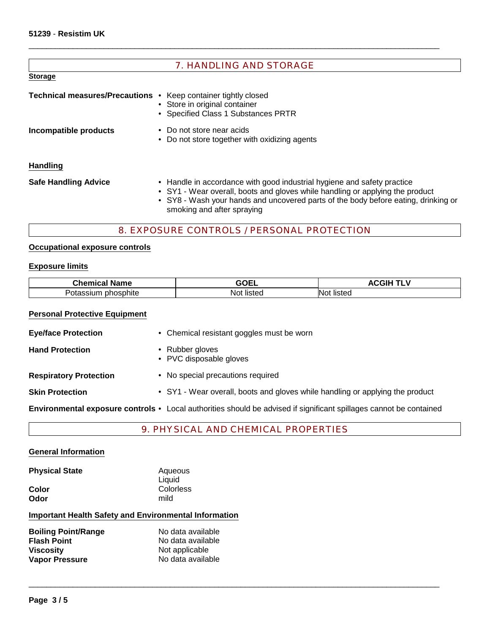| <b>7. HANDLING AND STORAGE</b>                                        |                                                                                                                                                                                                                                                                              |  |  |
|-----------------------------------------------------------------------|------------------------------------------------------------------------------------------------------------------------------------------------------------------------------------------------------------------------------------------------------------------------------|--|--|
| <b>Storage</b>                                                        |                                                                                                                                                                                                                                                                              |  |  |
| <b>Technical measures/Precautions •</b> Keep container tightly closed | • Store in original container<br>• Specified Class 1 Substances PRTR                                                                                                                                                                                                         |  |  |
| Incompatible products                                                 | • Do not store near acids<br>• Do not store together with oxidizing agents                                                                                                                                                                                                   |  |  |
| <b>Handling</b>                                                       |                                                                                                                                                                                                                                                                              |  |  |
| <b>Safe Handling Advice</b>                                           | • Handle in accordance with good industrial hygiene and safety practice<br>• SY1 - Wear overall, boots and gloves while handling or applying the product<br>• SY8 - Wash your hands and uncovered parts of the body before eating, drinking or<br>smoking and after spraying |  |  |

 $\_$  ,  $\_$  ,  $\_$  ,  $\_$  ,  $\_$  ,  $\_$  ,  $\_$  ,  $\_$  ,  $\_$  ,  $\_$  ,  $\_$  ,  $\_$  ,  $\_$  ,  $\_$  ,  $\_$  ,  $\_$  ,  $\_$  ,  $\_$  ,  $\_$  ,  $\_$  ,  $\_$  ,  $\_$  ,  $\_$  ,  $\_$  ,  $\_$  ,  $\_$  ,  $\_$  ,  $\_$  ,  $\_$  ,  $\_$  ,  $\_$  ,  $\_$  ,  $\_$  ,  $\_$  ,  $\_$  ,  $\_$  ,  $\_$  ,

## 8. EXPOSURE CONTROLS / PERSONAL PROTECTION

## **Occupational exposure controls**

## **Exposure limits**

| <b>Chemical</b><br>Name          | 8851<br>ъ⊨<br>1 – 1<br>---- | . .<br>--      |
|----------------------------------|-----------------------------|----------------|
| -<br>phosphite<br>OI'a<br>ישוכנ. | listec<br>NOL               | listeo<br>INO1 |

# **Personal Protective Equipment**

| <b>Eye/face Protection</b>    | • Chemical resistant goggles must be worn                                                                          |
|-------------------------------|--------------------------------------------------------------------------------------------------------------------|
| <b>Hand Protection</b>        | • Rubber gloves<br>• PVC disposable gloves                                                                         |
| <b>Respiratory Protection</b> | • No special precautions required                                                                                  |
| <b>Skin Protection</b>        | • SY1 - Wear overall, boots and gloves while handling or applying the product                                      |
|                               | Environmental exposure controls • Local authorities should be advised if significant spillages cannot be contained |

# 9. PHYSICAL AND CHEMICAL PROPERTIES

 $\_$  ,  $\_$  ,  $\_$  ,  $\_$  ,  $\_$  ,  $\_$  ,  $\_$  ,  $\_$  ,  $\_$  ,  $\_$  ,  $\_$  ,  $\_$  ,  $\_$  ,  $\_$  ,  $\_$  ,  $\_$  ,  $\_$  ,  $\_$  ,  $\_$  ,  $\_$  ,  $\_$  ,  $\_$  ,  $\_$  ,  $\_$  ,  $\_$  ,  $\_$  ,  $\_$  ,  $\_$  ,  $\_$  ,  $\_$  ,  $\_$  ,  $\_$  ,  $\_$  ,  $\_$  ,  $\_$  ,  $\_$  ,  $\_$  ,

## **General Information**

| <b>Physical State</b> | Aqueous   |
|-----------------------|-----------|
|                       | Liquid    |
| Color                 | Colorless |
| Odor                  | mild      |
|                       |           |

# **Important Health Safety and Environmental Information**

| <b>Boiling Point/Range</b> | No data available |  |  |
|----------------------------|-------------------|--|--|
| <b>Flash Point</b>         | No data available |  |  |
| <b>Viscosity</b>           | Not applicable    |  |  |
| Vapor Pressure             | No data available |  |  |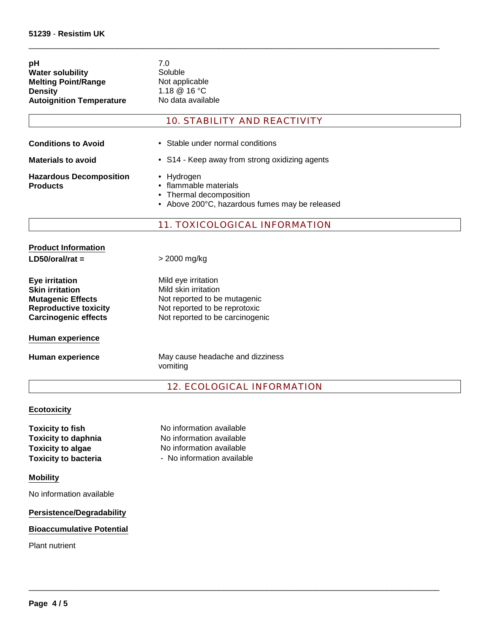| рH                              | 7.0 |
|---------------------------------|-----|
| <b>Water solubility</b>         | Sol |
| <b>Melting Point/Range</b>      | No  |
| <b>Density</b>                  | 1.1 |
| <b>Autoignition Temperature</b> | No  |
|                                 |     |

Soluble **Not applicable Density** 1.18 @ 16 °C **No data available** 

## 10. STABILITY AND REACTIVITY

 $\_$  ,  $\_$  ,  $\_$  ,  $\_$  ,  $\_$  ,  $\_$  ,  $\_$  ,  $\_$  ,  $\_$  ,  $\_$  ,  $\_$  ,  $\_$  ,  $\_$  ,  $\_$  ,  $\_$  ,  $\_$  ,  $\_$  ,  $\_$  ,  $\_$  ,  $\_$  ,  $\_$  ,  $\_$  ,  $\_$  ,  $\_$  ,  $\_$  ,  $\_$  ,  $\_$  ,  $\_$  ,  $\_$  ,  $\_$  ,  $\_$  ,  $\_$  ,  $\_$  ,  $\_$  ,  $\_$  ,  $\_$  ,  $\_$  ,

| <b>Conditions to Avoid</b> |  |
|----------------------------|--|
| Materiale to avoid         |  |

- Stable under normal conditions
- **Materials to avoid** S14 Keep away from strong oxidizing agents
- **Hazardous Decomposition Products**
- Hydrogen
	- flammable materials
	- Thermal decomposition
	- Above 200°C, hazardous fumes may be released

## 11. TOXICOLOGICAL INFORMATION

| <b>Product Information</b>                                                                                                          |                                                                                                                                                 |
|-------------------------------------------------------------------------------------------------------------------------------------|-------------------------------------------------------------------------------------------------------------------------------------------------|
| $LD50/oral/rat =$                                                                                                                   | > 2000 mg/kg                                                                                                                                    |
| Eye irritation<br><b>Skin irritation</b><br><b>Mutagenic Effects</b><br><b>Reproductive toxicity</b><br><b>Carcinogenic effects</b> | Mild eye irritation<br>Mild skin irritation<br>Not reported to be mutagenic<br>Not reported to be reprotoxic<br>Not reported to be carcinogenic |
| Human experience                                                                                                                    |                                                                                                                                                 |
| Human experience                                                                                                                    | May cause headache and dizziness<br>vomiting                                                                                                    |

## 12. ECOLOGICAL INFORMATION

 $\_$  ,  $\_$  ,  $\_$  ,  $\_$  ,  $\_$  ,  $\_$  ,  $\_$  ,  $\_$  ,  $\_$  ,  $\_$  ,  $\_$  ,  $\_$  ,  $\_$  ,  $\_$  ,  $\_$  ,  $\_$  ,  $\_$  ,  $\_$  ,  $\_$  ,  $\_$  ,  $\_$  ,  $\_$  ,  $\_$  ,  $\_$  ,  $\_$  ,  $\_$  ,  $\_$  ,  $\_$  ,  $\_$  ,  $\_$  ,  $\_$  ,  $\_$  ,  $\_$  ,  $\_$  ,  $\_$  ,  $\_$  ,  $\_$  ,

#### **Ecotoxicity**

**Toxicity to bacteria Toxicity to fish**

**Toxicity to algae** No information available - No information available No information available **Toxicity to daphnia** No information available

#### **Mobility**

No information available

#### **Persistence/Degradability**

#### **Bioaccumulative Potential**

Plant nutrient